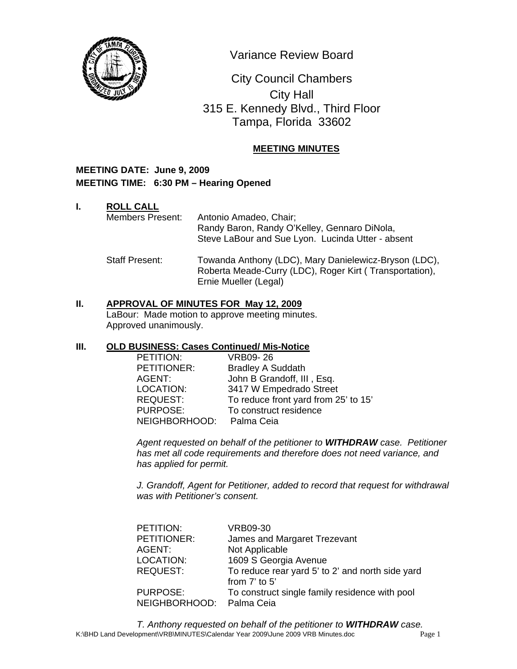

Variance Review Board

 0 315 E. Kennedy Blvd., Third Floor City Council Chambers City Hall Tampa, Florida 33602

# **MEETING MINUTES**

## **MEETING DATE: June 9, 2009 MEETING TIME: 6:30 PM – Hearing Opened**

## **I. ROLL CALL**

Members Present: Antonio Amadeo, Chair; Randy Baron, Randy O'Kelley, Gennaro DiNola, Steve LaBour and Sue Lyon. Lucinda Utter - absent

Staff Present: Towanda Anthony (LDC), Mary Danielewicz-Bryson (LDC), Roberta Meade-Curry (LDC), Roger Kirt ( Transportation), Ernie Mueller (Legal)

# **II. APPROVAL OF MINUTES FOR May 12, 2009**

LaBour: Made motion to approve meeting minutes. Approved unanimously.

## **III. OLD BUSINESS: Cases Continued/ Mis-Notice**

| PETITION:       | VRB09-26                             |
|-----------------|--------------------------------------|
| PETITIONER:     | <b>Bradley A Suddath</b>             |
| AGENT:          | John B Grandoff, III, Esq.           |
| LOCATION:       | 3417 W Empedrado Street              |
| <b>REQUEST:</b> | To reduce front yard from 25' to 15' |
| <b>PURPOSE:</b> | To construct residence               |
| NEIGHBORHOOD:   | Palma Ceia                           |

*Agent requested on behalf of the petitioner to WITHDRAW case. Petitioner has met all code requirements and therefore does not need variance, and has applied for permit.* 

*J. Grandoff, Agent for Petitioner, added to record that request for withdrawal was with Petitioner's consent.* 

| PETITION:     | <b>VRB09-30</b>                                  |
|---------------|--------------------------------------------------|
| PETITIONER:   | James and Margaret Trezevant                     |
| AGENT:        | Not Applicable                                   |
| LOCATION:     | 1609 S Georgia Avenue                            |
| REQUEST:      | To reduce rear yard 5' to 2' and north side yard |
|               | from 7' to 5'                                    |
| PURPOSE:      | To construct single family residence with pool   |
| NEIGHBORHOOD: | Palma Ceia                                       |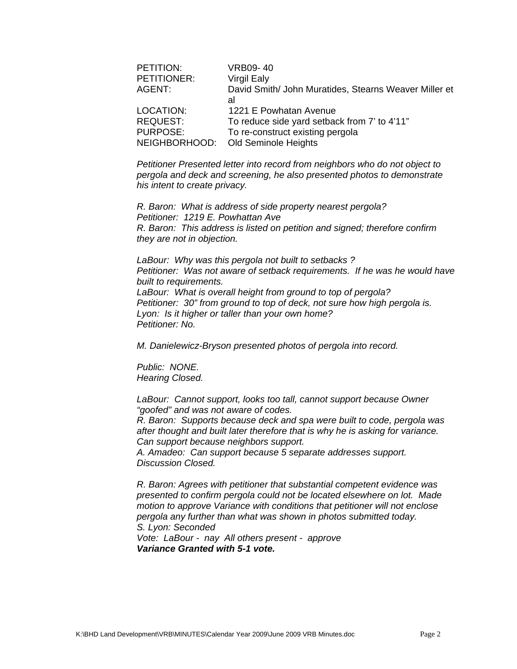| PETITION:       | <b>VRB09-40</b>                                             |
|-----------------|-------------------------------------------------------------|
| PETITIONER:     | <b>Virgil Ealy</b>                                          |
| AGENT:          | David Smith/ John Muratides, Stearns Weaver Miller et<br>al |
| LOCATION:       | 1221 E Powhatan Avenue                                      |
| <b>REQUEST:</b> | To reduce side yard setback from 7' to 4'11"                |
| <b>PURPOSE:</b> | To re-construct existing pergola                            |
| NEIGHBORHOOD:   | Old Seminole Heights                                        |

*Petitioner Presented letter into record from neighbors who do not object to pergola and deck and screening, he also presented photos to demonstrate his intent to create privacy.* 

*R. Baron: What is address of side property nearest pergola? Petitioner: 1219 E. Powhattan Ave R. Baron: This address is listed on petition and signed; therefore confirm they are not in objection.* 

*LaBour: Why was this pergola not built to setbacks ? Petitioner: Was not aware of setback requirements. If he was he would have built to requirements. LaBour: What is overall height from ground to top of pergola? Petitioner: 30" from ground to top of deck, not sure how high pergola is. Lyon: Is it higher or taller than your own home? Petitioner: No.* 

*M. Danielewicz-Bryson presented photos of pergola into record.* 

*Public: NONE. Hearing Closed.* 

*LaBour: Cannot support, looks too tall, cannot support because Owner "goofed" and was not aware of codes.* 

*R. Baron: Supports because deck and spa were built to code, pergola was after thought and built later therefore that is why he is asking for variance. Can support because neighbors support.* 

*A. Amadeo: Can support because 5 separate addresses support. Discussion Closed.* 

*R. Baron: Agrees with petitioner that substantial competent evidence was presented to confirm pergola could not be located elsewhere on lot. Made motion to approve Variance with conditions that petitioner will not enclose pergola any further than what was shown in photos submitted today. S. Lyon: Seconded* 

*Vote: LaBour - nay All others present - approve Variance Granted with 5-1 vote.*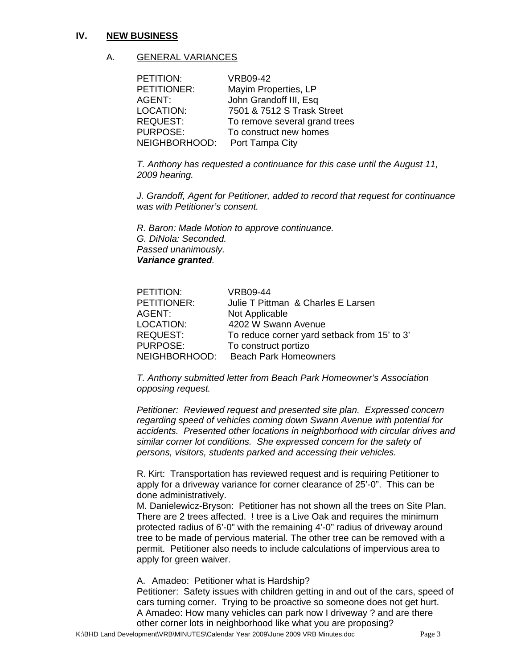#### **IV. NEW BUSINESS**

#### A. GENERAL VARIANCES

| PETITION:       | <b>VRB09-42</b>               |
|-----------------|-------------------------------|
| PETITIONER:     | Mayim Properties, LP          |
| AGENT:          | John Grandoff III, Esq        |
| LOCATION:       | 7501 & 7512 S Trask Street    |
| <b>REQUEST:</b> | To remove several grand trees |
| <b>PURPOSE:</b> | To construct new homes        |
| NEIGHBORHOOD:   | Port Tampa City               |

*T. Anthony has requested a continuance for this case until the August 11, 2009 hearing.* 

*J. Grandoff, Agent for Petitioner, added to record that request for continuance was with Petitioner's consent.* 

*R. Baron: Made Motion to approve continuance. G. DiNola: Seconded. Passed unanimously. Variance granted.* 

| <b>PETITION:</b> | VRB09-44                                     |
|------------------|----------------------------------------------|
| PETITIONER:      | Julie T Pittman & Charles E Larsen           |
| AGENT:           | Not Applicable                               |
| <b>LOCATION:</b> | 4202 W Swann Avenue                          |
| <b>REQUEST:</b>  | To reduce corner yard setback from 15' to 3' |
| PURPOSE:         | To construct portizo                         |
| NEIGHBORHOOD:    | <b>Beach Park Homeowners</b>                 |

*T. Anthony submitted letter from Beach Park Homeowner's Association opposing request.* 

*Petitioner: Reviewed request and presented site plan. Expressed concern regarding speed of vehicles coming down Swann Avenue with potential for accidents. Presented other locations in neighborhood with circular drives and similar corner lot conditions. She expressed concern for the safety of persons, visitors, students parked and accessing their vehicles.* 

R. Kirt: Transportation has reviewed request and is requiring Petitioner to apply for a driveway variance for corner clearance of 25'-0". This can be done administratively.

M. Danielewicz-Bryson: Petitioner has not shown all the trees on Site Plan. There are 2 trees affected. ! tree is a Live Oak and requires the minimum protected radius of 6'-0" with the remaining 4'-0" radius of driveway around tree to be made of pervious material. The other tree can be removed with a permit. Petitioner also needs to include calculations of impervious area to apply for green waiver.

A. Amadeo: Petitioner what is Hardship?

Petitioner: Safety issues with children getting in and out of the cars, speed of cars turning corner. Trying to be proactive so someone does not get hurt. A Amadeo: How many vehicles can park now I driveway ? and are there other corner lots in neighborhood like what you are proposing?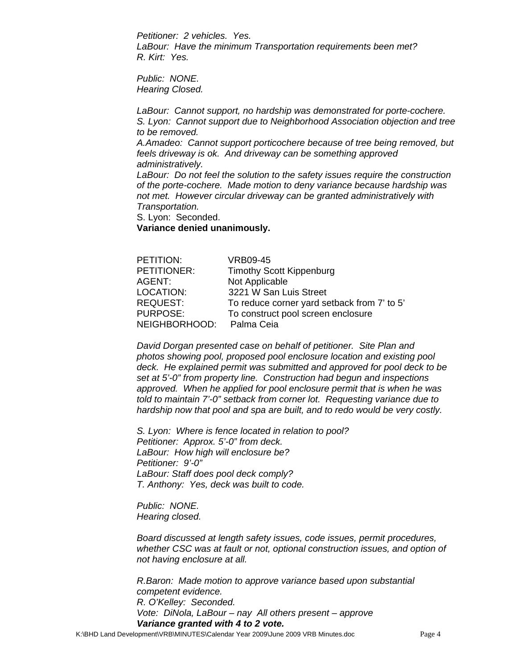*Petitioner: 2 vehicles. Yes. LaBour: Have the minimum Transportation requirements been met? R. Kirt: Yes.* 

*Public: NONE. Hearing Closed.* 

*LaBour: Cannot support, no hardship was demonstrated for porte-cochere. S. Lyon: Cannot support due to Neighborhood Association objection and tree to be removed. A.Amadeo: Cannot support porticochere because of tree being removed, but feels driveway is ok. And driveway can be something approved administratively. LaBour: Do not feel the solution to the safety issues require the construction* 

*of the porte-cochere. Made motion to deny variance because hardship was not met. However circular driveway can be granted administratively with Transportation.* 

S. Lyon: Seconded.

**Variance denied unanimously.** 

| PETITION:       | <b>VRB09-45</b>                             |
|-----------------|---------------------------------------------|
| PETITIONER:     | <b>Timothy Scott Kippenburg</b>             |
| AGENT:          | Not Applicable                              |
| LOCATION:       | 3221 W San Luis Street                      |
| <b>REQUEST:</b> | To reduce corner yard setback from 7' to 5' |
| PURPOSE:        | To construct pool screen enclosure          |
| NEIGHBORHOOD:   | Palma Ceia                                  |

*David Dorgan presented case on behalf of petitioner. Site Plan and photos showing pool, proposed pool enclosure location and existing pool*  deck. He explained permit was submitted and approved for pool deck to be *set at 5'-0" from property line. Construction had begun and inspections approved. When he applied for pool enclosure permit that is when he was told to maintain 7'-0" setback from corner lot. Requesting variance due to hardship now that pool and spa are built, and to redo would be very costly.* 

*S. Lyon: Where is fence located in relation to pool? Petitioner: Approx. 5'-0" from deck. LaBour: How high will enclosure be? Petitioner: 9'-0" LaBour: Staff does pool deck comply? T. Anthony: Yes, deck was built to code.* 

*Public: NONE. Hearing closed.* 

*Board discussed at length safety issues, code issues, permit procedures, whether CSC was at fault or not, optional construction issues, and option of not having enclosure at all.* 

*R.Baron: Made motion to approve variance based upon substantial competent evidence. R. O'Kelley: Seconded. Vote: DiNola, LaBour – nay All others present – approve Variance granted with 4 to 2 vote.*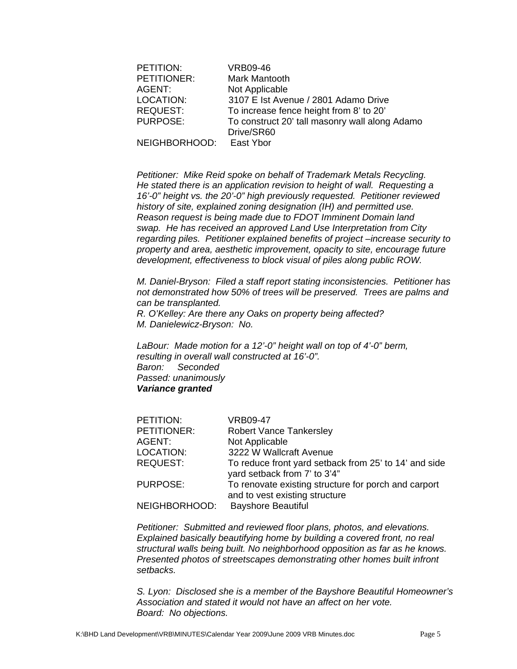| PETITION:       | <b>VRB09-46</b>                                |
|-----------------|------------------------------------------------|
| PETITIONER:     | Mark Mantooth                                  |
| AGENT:          | Not Applicable                                 |
| LOCATION:       | 3107 E Ist Avenue / 2801 Adamo Drive           |
| <b>REQUEST:</b> | To increase fence height from 8' to 20'        |
| <b>PURPOSE:</b> | To construct 20' tall masonry wall along Adamo |
|                 | Drive/SR60                                     |
| NEIGHBORHOOD:   | East Ybor                                      |

*Petitioner: Mike Reid spoke on behalf of Trademark Metals Recycling. He stated there is an application revision to height of wall. Requesting a 16'-0" height vs. the 20'-0" high previously requested. Petitioner reviewed history of site, explained zoning designation (IH) and permitted use. Reason request is being made due to FDOT Imminent Domain land swap. He has received an approved Land Use Interpretation from City regarding piles. Petitioner explained benefits of project –increase security to property and area, aesthetic improvement, opacity to site, encourage future development, effectiveness to block visual of piles along public ROW.* 

*M. Daniel-Bryson: Filed a staff report stating inconsistencies. Petitioner has not demonstrated how 50% of trees will be preserved. Trees are palms and can be transplanted.* 

*R. O'Kelley: Are there any Oaks on property being affected? M. Danielewicz-Bryson: No.* 

*LaBour: Made motion for a 12'-0" height wall on top of 4'-0" berm, resulting in overall wall constructed at 16'-0". Baron: Seconded Passed: unanimously Variance granted* 

| PETITION:       | <b>VRB09-47</b>                                                                        |
|-----------------|----------------------------------------------------------------------------------------|
| PETITIONER:     | <b>Robert Vance Tankersley</b>                                                         |
| AGENT:          | Not Applicable                                                                         |
| LOCATION:       | 3222 W Wallcraft Avenue                                                                |
| <b>REQUEST:</b> | To reduce front yard setback from 25' to 14' and side<br>yard setback from 7' to 3'4"  |
| <b>PURPOSE:</b> | To renovate existing structure for porch and carport<br>and to vest existing structure |
| NEIGHBORHOOD:   | <b>Bayshore Beautiful</b>                                                              |

*Petitioner: Submitted and reviewed floor plans, photos, and elevations. Explained basically beautifying home by building a covered front, no real structural walls being built. No neighborhood opposition as far as he knows. Presented photos of streetscapes demonstrating other homes built infront setbacks.* 

*S. Lyon: Disclosed she is a member of the Bayshore Beautiful Homeowner's Association and stated it would not have an affect on her vote. Board: No objections.*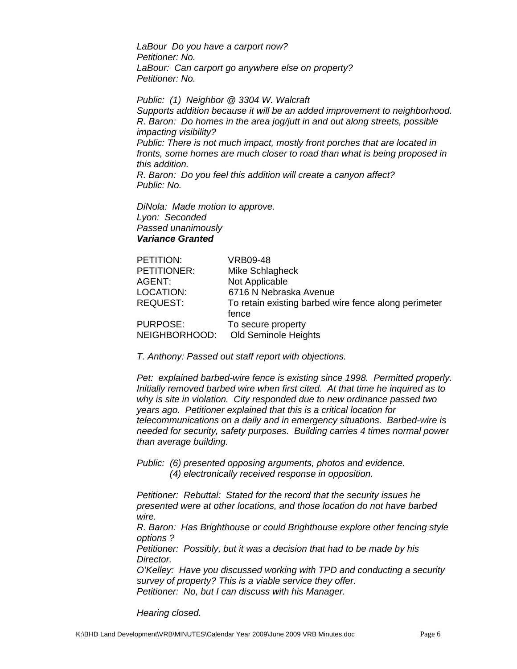*LaBour Do you have a carport now? Petitioner: No. LaBour: Can carport go anywhere else on property? Petitioner: No.* 

*Public: (1) Neighbor @ 3304 W. Walcraft Supports addition because it will be an added improvement to neighborhood. R. Baron: Do homes in the area jog/jutt in and out along streets, possible impacting visibility? Public: There is not much impact, mostly front porches that are located in fronts, some homes are much closer to road than what is being proposed in this addition. R. Baron: Do you feel this addition will create a canyon affect? Public: No.* 

*DiNola: Made motion to approve. Lyon: Seconded Passed unanimously Variance Granted* 

| PETITION:     | <b>VRB09-48</b>                                      |
|---------------|------------------------------------------------------|
| PETITIONER:   | Mike Schlagheck                                      |
| AGENT:        | Not Applicable                                       |
| LOCATION:     | 6716 N Nebraska Avenue                               |
| REQUEST:      | To retain existing barbed wire fence along perimeter |
|               | fence                                                |
| PURPOSE:      | To secure property                                   |
| NEIGHBORHOOD: | Old Seminole Heights                                 |
|               |                                                      |

*T. Anthony: Passed out staff report with objections.* 

*Pet: explained barbed-wire fence is existing since 1998. Permitted properly. Initially removed barbed wire when first cited. At that time he inquired as to why is site in violation. City responded due to new ordinance passed two years ago. Petitioner explained that this is a critical location for telecommunications on a daily and in emergency situations. Barbed-wire is needed for security, safety purposes. Building carries 4 times normal power than average building.* 

*Public: (6) presented opposing arguments, photos and evidence. (4) electronically received response in opposition.* 

*Petitioner: Rebuttal: Stated for the record that the security issues he presented were at other locations, and those location do not have barbed wire.* 

*R. Baron: Has Brighthouse or could Brighthouse explore other fencing style options ?* 

*Petitioner: Possibly, but it was a decision that had to be made by his Director.* 

*O'Kelley: Have you discussed working with TPD and conducting a security survey of property? This is a viable service they offer. Petitioner: No, but I can discuss with his Manager.* 

*Hearing closed.*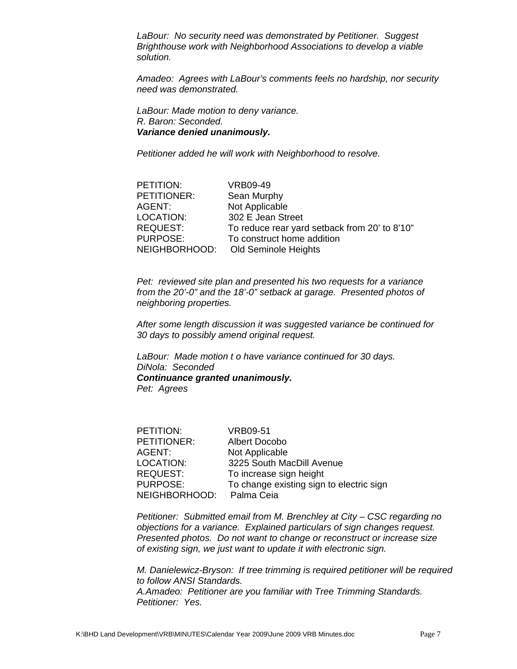*LaBour: No security need was demonstrated by Petitioner. Suggest Brighthouse work with Neighborhood Associations to develop a viable solution.* 

*Amadeo: Agrees with LaBour's comments feels no hardship, nor security need was demonstrated.* 

*LaBour: Made motion to deny variance. R. Baron: Seconded. Variance denied unanimously.* 

*Petitioner added he will work with Neighborhood to resolve.* 

| PETITION:        | <b>VRB09-49</b>                               |
|------------------|-----------------------------------------------|
| PETITIONER:      | Sean Murphy                                   |
| AGENT:           | Not Applicable                                |
| <b>LOCATION:</b> | 302 E Jean Street                             |
| REQUEST:         | To reduce rear yard setback from 20' to 8'10" |
| <b>PURPOSE:</b>  | To construct home addition                    |
| NEIGHBORHOOD:    | Old Seminole Heights                          |

*Pet: reviewed site plan and presented his two requests for a variance from the 20'-0" and the 18'-0" setback at garage. Presented photos of neighboring properties.* 

*After some length discussion it was suggested variance be continued for 30 days to possibly amend original request.* 

*LaBour: Made motion t o have variance continued for 30 days. DiNola: Seconded Continuance granted unanimously. Pet: Agrees* 

| PETITION:       | VRB09-51                                 |
|-----------------|------------------------------------------|
| PETITIONER:     | <b>Albert Docobo</b>                     |
| AGENT:          | Not Applicable                           |
| LOCATION:       | 3225 South MacDill Avenue                |
| <b>REQUEST:</b> | To increase sign height                  |
| <b>PURPOSE:</b> | To change existing sign to electric sign |
| NEIGHBORHOOD:   | Palma Ceia                               |

*Petitioner: Submitted email from M. Brenchley at City – CSC regarding no objections for a variance. Explained particulars of sign changes request. Presented photos. Do not want to change or reconstruct or increase size of existing sign, we just want to update it with electronic sign.* 

*M. Danielewicz-Bryson: If tree trimming is required petitioner will be required to follow ANSI Standards. A.Amadeo: Petitioner are you familiar with Tree Trimming Standards. Petitioner: Yes.*